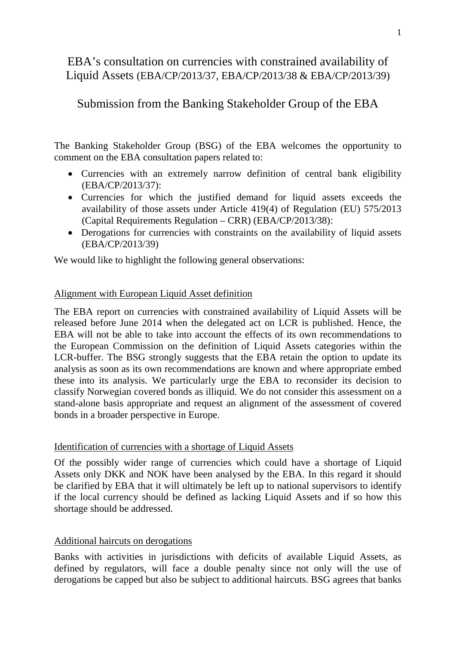# EBA's consultation on currencies with constrained availability of Liquid Assets (EBA/CP/2013/37, EBA/CP/2013/38 & EBA/CP/2013/39)

## Submission from the Banking Stakeholder Group of the EBA

The Banking Stakeholder Group (BSG) of the EBA welcomes the opportunity to comment on the EBA consultation papers related to:

- Currencies with an extremely narrow definition of central bank eligibility (EBA/CP/2013/37):
- Currencies for which the justified demand for liquid assets exceeds the availability of those assets under Article 419(4) of Regulation (EU) 575/2013 (Capital Requirements Regulation – CRR) (EBA/CP/2013/38):
- Derogations for currencies with constraints on the availability of liquid assets (EBA/CP/2013/39)

We would like to highlight the following general observations:

## Alignment with European Liquid Asset definition

The EBA report on currencies with constrained availability of Liquid Assets will be released before June 2014 when the delegated act on LCR is published. Hence, the EBA will not be able to take into account the effects of its own recommendations to the European Commission on the definition of Liquid Assets categories within the LCR-buffer. The BSG strongly suggests that the EBA retain the option to update its analysis as soon as its own recommendations are known and where appropriate embed these into its analysis. We particularly urge the EBA to reconsider its decision to classify Norwegian covered bonds as illiquid. We do not consider this assessment on a stand-alone basis appropriate and request an alignment of the assessment of covered bonds in a broader perspective in Europe.

### Identification of currencies with a shortage of Liquid Assets

Of the possibly wider range of currencies which could have a shortage of Liquid Assets only DKK and NOK have been analysed by the EBA. In this regard it should be clarified by EBA that it will ultimately be left up to national supervisors to identify if the local currency should be defined as lacking Liquid Assets and if so how this shortage should be addressed.

### Additional haircuts on derogations

Banks with activities in jurisdictions with deficits of available Liquid Assets, as defined by regulators, will face a double penalty since not only will the use of derogations be capped but also be subject to additional haircuts. BSG agrees that banks